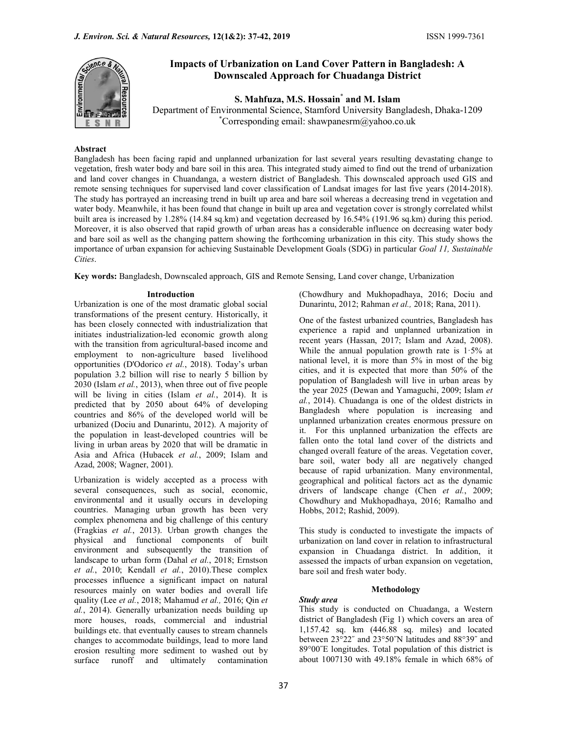

# Impacts of Urbanization on Land Cover Pattern in Bangladesh: A Downscaled Approach for Chuadanga District

S. Mahfuza, M.S. Hossain\* and M. Islam

Department of Environmental Science, Stamford University Bangladesh, Dhaka-1209 \*Corresponding email: shawpanesrm@yahoo.co.uk

# Abstract

Bangladesh has been facing rapid and unplanned urbanization for last several years resulting devastating change to vegetation, fresh water body and bare soil in this area. This integrated study aimed to find out the trend of urbanization and land cover changes in Chuandanga, a western district of Bangladesh. This downscaled approach used GIS and remote sensing techniques for supervised land cover classification of Landsat images for last five years (2014-2018). The study has portrayed an increasing trend in built up area and bare soil whereas a decreasing trend in vegetation and water body. Meanwhile, it has been found that change in built up area and vegetation cover is strongly correlated whilst built area is increased by 1.28% (14.84 sq.km) and vegetation decreased by 16.54% (191.96 sq.km) during this period. Moreover, it is also observed that rapid growth of urban areas has a considerable influence on decreasing water body and bare soil as well as the changing pattern showing the forthcoming urbanization in this city. This study shows the importance of urban expansion for achieving Sustainable Development Goals (SDG) in particular Goal 11, Sustainable Cities.

Key words: Bangladesh, Downscaled approach, GIS and Remote Sensing, Land cover change, Urbanization

Urbanization is one of the most dramatic global social transformations of the present century. Historically, it has been closely connected with industrialization that initiates industrialization-led economic growth along with the transition from agricultural-based income and employment to non-agriculture based livelihood opportunities (D'Odorico et al., 2018). Today's urban population 3.2 billion will rise to nearly 5 billion by 2030 (Islam et al., 2013), when three out of five people will be living in cities (Islam et al., 2014). It is predicted that by 2050 about 64% of developing countries and 86% of the developed world will be urbanized (Dociu and Dunarintu, 2012). A majority of the population in least-developed countries will be living in urban areas by 2020 that will be dramatic in Asia and Africa (Hubacek et al., 2009; Islam and Azad, 2008; Wagner, 2001).

Urbanization is widely accepted as a process with several consequences, such as social, economic, environmental and it usually occurs in developing countries. Managing urban growth has been very complex phenomena and big challenge of this century (Fragkias et al., 2013). Urban growth changes the physical and functional components of built environment and subsequently the transition of landscape to urban form (Dahal et al., 2018; Ernstson et al., 2010; Kendall et al., 2010).These complex processes influence a significant impact on natural resources mainly on water bodies and overall life quality (Lee et al., 2018; Mahamud et al., 2016; Qin et al., 2014). Generally urbanization needs building up more houses, roads, commercial and industrial buildings etc. that eventually causes to stream channels changes to accommodate buildings, lead to more land erosion resulting more sediment to washed out by surface runoff and ultimately contamination

Introduction (Chowdhury and Mukhopadhaya, 2016; Dociu and Dunarintu, 2012; Rahman et al., 2018; Rana, 2011).

> One of the fastest urbanized countries, Bangladesh has experience a rapid and unplanned urbanization in recent years (Hassan, 2017; Islam and Azad, 2008). While the annual population growth rate is  $1.5\%$  at national level, it is more than 5% in most of the big cities, and it is expected that more than 50% of the population of Bangladesh will live in urban areas by the year 2025 (Dewan and Yamaguchi, 2009; Islam et al., 2014). Chuadanga is one of the oldest districts in Bangladesh where population is increasing and unplanned urbanization creates enormous pressure on it. For this unplanned urbanization the effects are fallen onto the total land cover of the districts and changed overall feature of the areas. Vegetation cover, bare soil, water body all are negatively changed because of rapid urbanization. Many environmental, geographical and political factors act as the dynamic drivers of landscape change (Chen et al., 2009; Chowdhury and Mukhopadhaya, 2016; Ramalho and Hobbs, 2012; Rashid, 2009).

> This study is conducted to investigate the impacts of urbanization on land cover in relation to infrastructural expansion in Chuadanga district. In addition, it assessed the impacts of urban expansion on vegetation, bare soil and fresh water body.

#### Methodology

#### Study area

This study is conducted on Chuadanga, a Western district of Bangladesh (Fig 1) which covers an area of 1,157.42 sq. km (446.88 sq. miles) and located between 23°22˝ and 23°50˝N latitudes and 88°39˝ and 89°00˝E longitudes. Total population of this district is about 1007130 with 49.18% female in which 68% of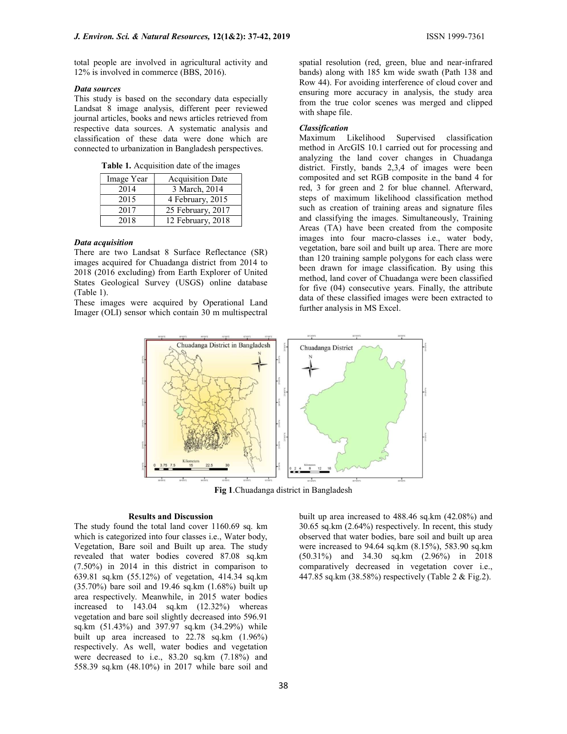total people are involved in agricultural activity and 12% is involved in commerce (BBS, 2016).

## Data sources

This study is based on the secondary data especially Landsat 8 image analysis, different peer reviewed journal articles, books and news articles retrieved from respective data sources. A systematic analysis and classification of these data were done which are connected to urbanization in Bangladesh perspectives.

Table 1. Acquisition date of the images

| Image Year | <b>Acquisition Date</b> |  |  |
|------------|-------------------------|--|--|
| 2014       | 3 March, 2014           |  |  |
| 2015       | 4 February, 2015        |  |  |
| 2017       | 25 February, 2017       |  |  |
| 2018       | 12 February, 2018       |  |  |

# Data acquisition

There are two Landsat 8 Surface Reflectance (SR) images acquired for Chuadanga district from 2014 to 2018 (2016 excluding) from Earth Explorer of United States Geological Survey (USGS) online database (Table 1).

These images were acquired by Operational Land Imager (OLI) sensor which contain 30 m multispectral

spatial resolution (red, green, blue and near-infrared bands) along with 185 km wide swath (Path 138 and Row 44). For avoiding interference of cloud cover and ensuring more accuracy in analysis, the study area from the true color scenes was merged and clipped with shape file.

# Classification

Maximum Likelihood Supervised classification method in ArcGIS 10.1 carried out for processing and analyzing the land cover changes in Chuadanga district. Firstly, bands 2,3,4 of images were been composited and set RGB composite in the band 4 for red, 3 for green and 2 for blue channel. Afterward, steps of maximum likelihood classification method such as creation of training areas and signature files and classifying the images. Simultaneously, Training Areas (TA) have been created from the composite images into four macro-classes i.e., water body, vegetation, bare soil and built up area. There are more than 120 training sample polygons for each class were been drawn for image classification. By using this method, land cover of Chuadanga were been classified for five (04) consecutive years. Finally, the attribute data of these classified images were been extracted to further analysis in MS Excel.



Fig 1.Chuadanga district in Bangladesh

## Results and Discussion

The study found the total land cover 1160.69 sq. km which is categorized into four classes i.e., Water body, Vegetation, Bare soil and Built up area. The study revealed that water bodies covered 87.08 sq.km (7.50%) in 2014 in this district in comparison to 639.81 sq.km (55.12%) of vegetation, 414.34 sq.km (35.70%) bare soil and 19.46 sq.km (1.68%) built up area respectively. Meanwhile, in 2015 water bodies increased to 143.04 sq.km (12.32%) whereas vegetation and bare soil slightly decreased into 596.91 sq.km (51.43%) and 397.97 sq.km (34.29%) while built up area increased to 22.78 sq.km (1.96%) respectively. As well, water bodies and vegetation were decreased to i.e., 83.20 sq.km (7.18%) and 558.39 sq.km (48.10%) in 2017 while bare soil and

38

built up area increased to 488.46 sq.km (42.08%) and 30.65 sq.km (2.64%) respectively. In recent, this study observed that water bodies, bare soil and built up area were increased to 94.64 sq.km (8.15%), 583.90 sq.km (50.31%) and 34.30 sq.km (2.96%) in 2018 comparatively decreased in vegetation cover i.e., 447.85 sq.km (38.58%) respectively (Table 2 & Fig.2).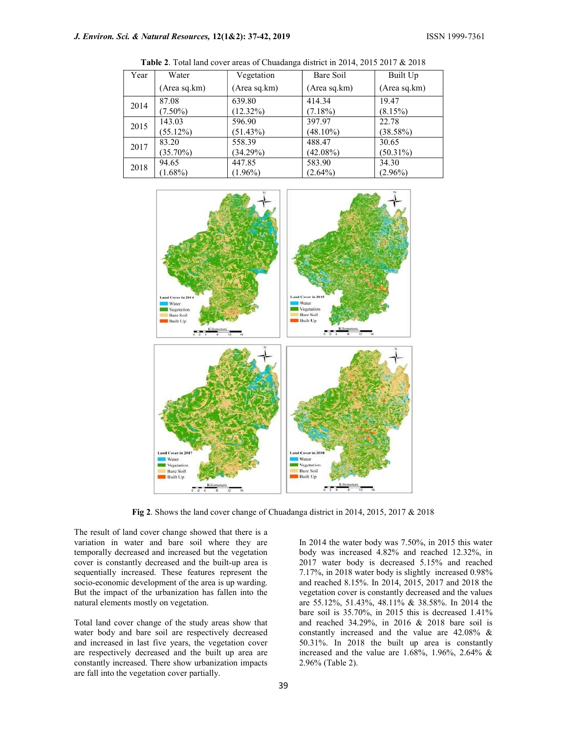| Year | Water        | Vegetation   | Bare Soil    | Built Up     |
|------|--------------|--------------|--------------|--------------|
|      | (Area sq.km) | (Area sq.km) | (Area sq.km) | (Area sq.km) |
| 2014 | 87.08        | 639.80       | 414.34       | 19.47        |
|      | $(7.50\%)$   | $(12.32\%)$  | $(7.18\%)$   | (8.15%)      |
| 2015 | 143.03       | 596.90       | 397.97       | 22.78        |
|      | $(55.12\%)$  | $(51.43\%)$  | $(48.10\%)$  | (38.58%)     |
| 2017 | 83.20        | 558.39       | 488.47       | 30.65        |
|      | $(35.70\%)$  | $(34.29\%)$  | $(42.08\%)$  | $(50.31\%)$  |
| 2018 | 94.65        | 447.85       | 583.90       | 34.30        |
|      | $(1.68\%)$   | $(1.96\%)$   | $(2.64\%)$   | $(2.96\%)$   |
|      |              |              |              |              |

Table 2. Total land cover areas of Chuadanga district in 2014, 2015 2017 & 2018



Fig 2. Shows the land cover change of Chuadanga district in 2014, 2015, 2017 & 2018

The result of land cover change showed that there is a variation in water and bare soil where they are temporally decreased and increased but the vegetation cover is constantly decreased and the built-up area is sequentially increased. These features represent the socio-economic development of the area is up warding. But the impact of the urbanization has fallen into the natural elements mostly on vegetation.

Total land cover change of the study areas show that water body and bare soil are respectively decreased and increased in last five years, the vegetation cover are respectively decreased and the built up area are constantly increased. There show urbanization impacts are fall into the vegetation cover partially.

In 2014 the water body was 7.50%, in 2015 this water body was increased 4.82% and reached 12.32%, in 2017 water body is decreased 5.15% and reached 7.17%, in 2018 water body is slightly increased 0.98% and reached 8.15%. In 2014, 2015, 2017 and 2018 the vegetation cover is constantly decreased and the values are 55.12%, 51.43%, 48.11% & 38.58%. In 2014 the bare soil is 35.70%, in 2015 this is decreased 1.41% and reached 34.29%, in 2016 & 2018 bare soil is constantly increased and the value are 42.08% & 50.31%. In 2018 the built up area is constantly increased and the value are 1.68%, 1.96%, 2.64% & 2.96% (Table 2).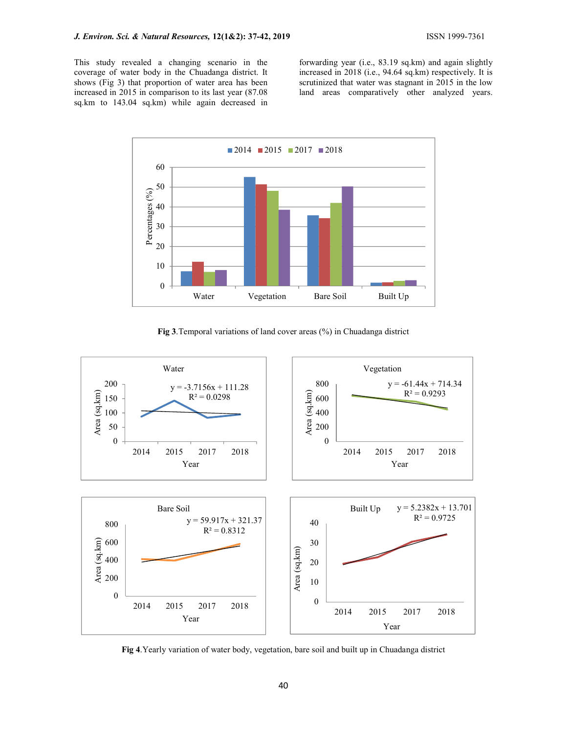This study revealed a changing scenario in the coverage of water body in the Chuadanga district. It shows (Fig 3) that proportion of water area has been increased in 2015 in comparison to its last year (87.08 sq.km to 143.04 sq.km) while again decreased in

forwarding year (i.e., 83.19 sq.km) and again slightly increased in 2018 (i.e., 94.64 sq.km) respectively. It is scrutinized that water was stagnant in 2015 in the low land areas comparatively other analyzed years.



Fig 3.Temporal variations of land cover areas (%) in Chuadanga district



Fig 4.Yearly variation of water body, vegetation, bare soil and built up in Chuadanga district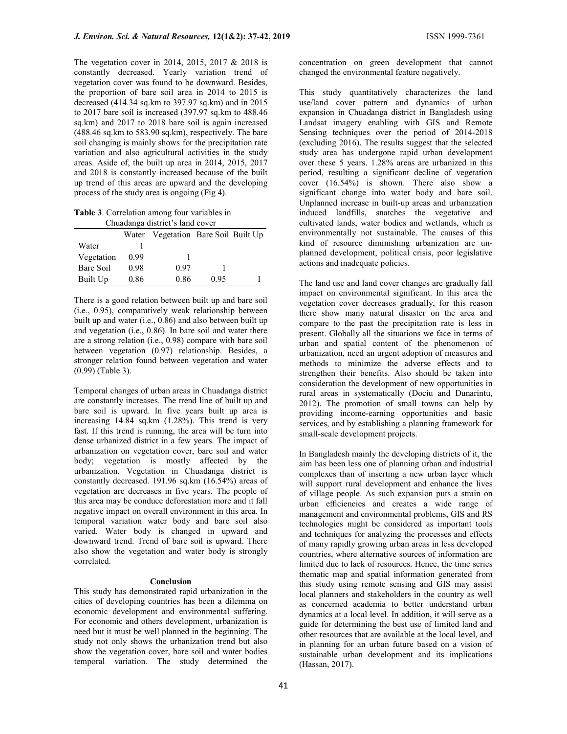The vegetation cover in 2014, 2015, 2017 & 2018 is constantly decreased. Yearly variation trend of vegetation cover was found to be downward. Besides, the proportion of bare soil area in 2014 to 2015 is decreased (414.34 sq.km to 397.97 sq.km) and in 2015 to 2017 bare soil is increased (397.97 sq.km to 488.46 sq.km) and 2017 to 2018 bare soil is again increased (488.46 sq.km to 583.90 sq.km), respectively. The bare soil changing is mainly shows for the precipitation rate variation and also agricultural activities in the study areas. Aside of, the built up area in 2014, 2015, 2017 and 2018 is constantly increased because of the built up trend of this areas are upward and the developing process of the study area is ongoing (Fig 4).

Table 3. Correlation among four variables in Chuadanga district's land cover

|            |      | Water Vegetation Bare Soil Built Up |      |  |
|------------|------|-------------------------------------|------|--|
| Water      |      |                                     |      |  |
| Vegetation | 0.99 |                                     |      |  |
| Bare Soil  | 0.98 | 0.97                                |      |  |
| Built Up   | 0.86 | 0.86                                | 0.95 |  |

There is a good relation between built up and bare soil (i.e., 0.95), comparatively weak relationship between built up and water (i.e., 0.86) and also between built up and vegetation (i.e., 0.86). In bare soil and water there are a strong relation (i.e., 0.98) compare with bare soil between vegetation (0.97) relationship. Besides, a stronger relation found between vegetation and water (0.99) (Table 3).

Temporal changes of urban areas in Chuadanga district are constantly increases. The trend line of built up and bare soil is upward. In five years built up area is increasing 14.84 sq.km (1.28%). This trend is very fast. If this trend is running, the area will be turn into dense urbanized district in a few years. The impact of urbanization on vegetation cover, bare soil and water body; vegetation is mostly affected by the urbanization. Vegetation in Chuadanga district is constantly decreased. 191.96 sq.km (16.54%) areas of vegetation are decreases in five years. The people of this area may be conduce deforestation more and it fall negative impact on overall environment in this area. In temporal variation water body and bare soil also varied. Water body is changed in upward and downward trend. Trend of bare soil is upward. There also show the vegetation and water body is strongly correlated.

#### Conclusion

This study has demonstrated rapid urbanization in the cities of developing countries has been a dilemma on economic development and environmental suffering. For economic and others development, urbanization is need but it must be well planned in the beginning. The study not only shows the urbanization trend but also show the vegetation cover, bare soil and water bodies temporal variation. The study determined the

concentration on green development that cannot changed the environmental feature negatively.

This study quantitatively characterizes the land use/land cover pattern and dynamics of urban expansion in Chuadanga district in Bangladesh using Landsat imagery enabling with GIS and Remote Sensing techniques over the period of 2014-2018 (excluding 2016). The results suggest that the selected study area has undergone rapid urban development over these 5 years. 1.28% areas are urbanized in this period, resulting a significant decline of vegetation cover (16.54%) is shown. There also show a significant change into water body and bare soil. Unplanned increase in built-up areas and urbanization induced landfills, snatches the vegetative and cultivated lands, water bodies and wetlands, which is environmentally not sustainable. The causes of this kind of resource diminishing urbanization are unplanned development, political crisis, poor legislative actions and inadequate policies.

The land use and land cover changes are gradually fall impact on environmental significant. In this area the vegetation cover decreases gradually, for this reason there show many natural disaster on the area and compare to the past the precipitation rate is less in present. Globally all the situations we face in terms of urban and spatial content of the phenomenon of urbanization, need an urgent adoption of measures and methods to minimize the adverse effects and to strengthen their benefits. Also should be taken into consideration the development of new opportunities in rural areas in systematically (Dociu and Dunarintu, 2012). The promotion of small towns can help by providing income-earning opportunities and basic services, and by establishing a planning framework for small-scale development projects.

In Bangladesh mainly the developing districts of it, the aim has been less one of planning urban and industrial complexes than of inserting a new urban layer which will support rural development and enhance the lives of village people. As such expansion puts a strain on urban efficiencies and creates a wide range of management and environmental problems, GIS and RS technologies might be considered as important tools and techniques for analyzing the processes and effects of many rapidly growing urban areas in less developed countries, where alternative sources of information are limited due to lack of resources. Hence, the time series thematic map and spatial information generated from this study using remote sensing and GIS may assist local planners and stakeholders in the country as well as concerned academia to better understand urban dynamics at a local level. In addition, it will serve as a guide for determining the best use of limited land and other resources that are available at the local level, and in planning for an urban future based on a vision of sustainable urban development and its implications (Hassan, 2017).